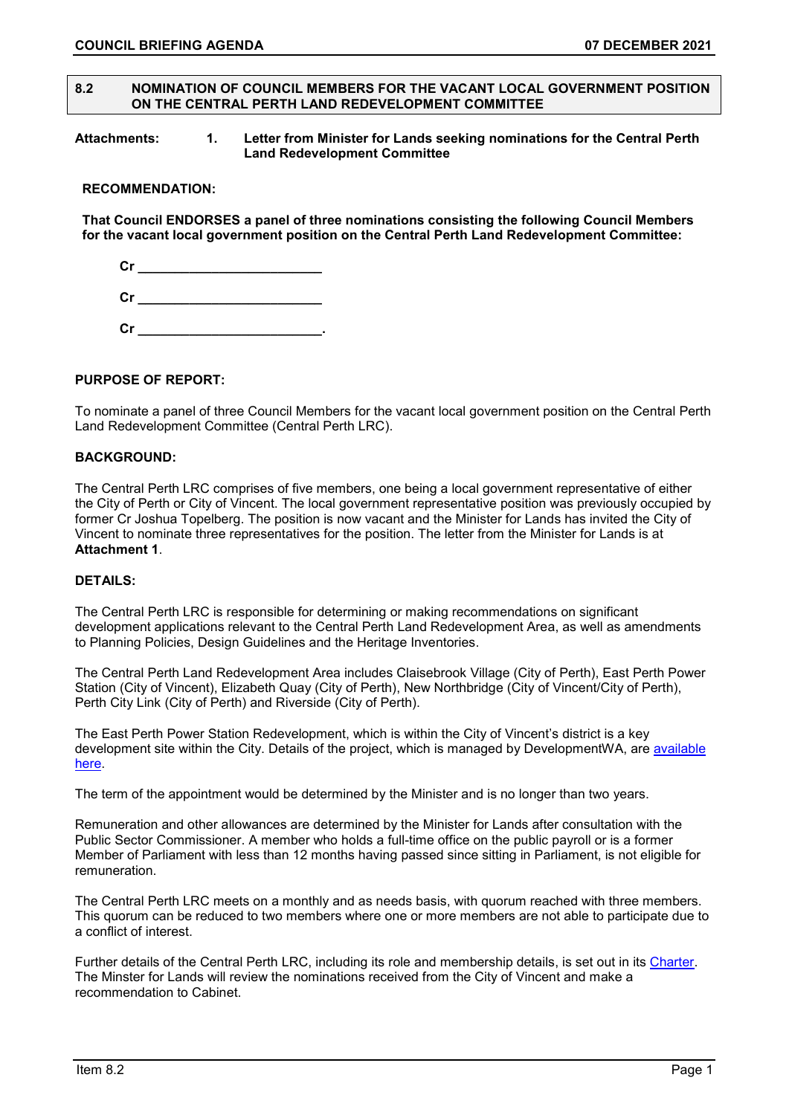#### **8.2 NOMINATION OF COUNCIL MEMBERS FOR THE VACANT LOCAL GOVERNMENT POSITION ON THE CENTRAL PERTH LAND REDEVELOPMENT COMMITTEE**

#### **Attachments: 1. Letter from Minister for Lands seeking nominations for the Central Perth Land Redevelopment Committee**

#### **RECOMMENDATION:**

**That Council ENDORSES a panel of three nominations consisting the following Council Members for the vacant local government position on the Central Perth Land Redevelopment Committee:**

**Cr \_\_\_\_\_\_\_\_\_\_\_\_\_\_\_\_\_\_\_\_\_\_\_\_\_**

**Cr \_\_\_\_\_\_\_\_\_\_\_\_\_\_\_\_\_\_\_\_\_\_\_\_\_**

**Cr \_\_\_\_\_\_\_\_\_\_\_\_\_\_\_\_\_\_\_\_\_\_\_\_\_.**

## **PURPOSE OF REPORT:**

To nominate a panel of three Council Members for the vacant local government position on the Central Perth Land Redevelopment Committee (Central Perth LRC).

## **BACKGROUND:**

The Central Perth LRC comprises of five members, one being a local government representative of either the City of Perth or City of Vincent. The local government representative position was previously occupied by former Cr Joshua Topelberg. The position is now vacant and the Minister for Lands has invited the City of Vincent to nominate three representatives for the position. The letter from the Minister for Lands is at **Attachment 1**.

#### **DETAILS:**

The Central Perth LRC is responsible for determining or making recommendations on significant development applications relevant to the Central Perth Land Redevelopment Area, as well as amendments to Planning Policies, Design Guidelines and the Heritage Inventories.

The Central Perth Land Redevelopment Area includes Claisebrook Village (City of Perth), East Perth Power Station (City of Vincent), Elizabeth Quay (City of Perth), New Northbridge (City of Vincent/City of Perth), Perth City Link (City of Perth) and Riverside (City of Perth).

The East Perth Power Station Redevelopment, which is within the City of Vincent's district is a key development site within the City. Details of the project, which is managed by DevelopmentWA, are [available](https://www.mra.wa.gov.au/projects-and-places/east-perth-power-station)  [here.](https://www.mra.wa.gov.au/projects-and-places/east-perth-power-station)

The term of the appointment would be determined by the Minister and is no longer than two years.

Remuneration and other allowances are determined by the Minister for Lands after consultation with the Public Sector Commissioner. A member who holds a full-time office on the public payroll or is a former Member of Parliament with less than 12 months having passed since sitting in Parliament, is not eligible for remuneration.

The Central Perth LRC meets on a monthly and as needs basis, with quorum reached with three members. This quorum can be reduced to two members where one or more members are not able to participate due to a conflict of interest.

Further details of the Central Perth LRC, including its role and membership details, is set out in its [Charter.](https://cdn.mra.wa.gov.au/production/documents-media/documents/mra-corporate/file/mra-land-redevelopment-committee-charter) The Minster for Lands will review the nominations received from the City of Vincent and make a recommendation to Cabinet.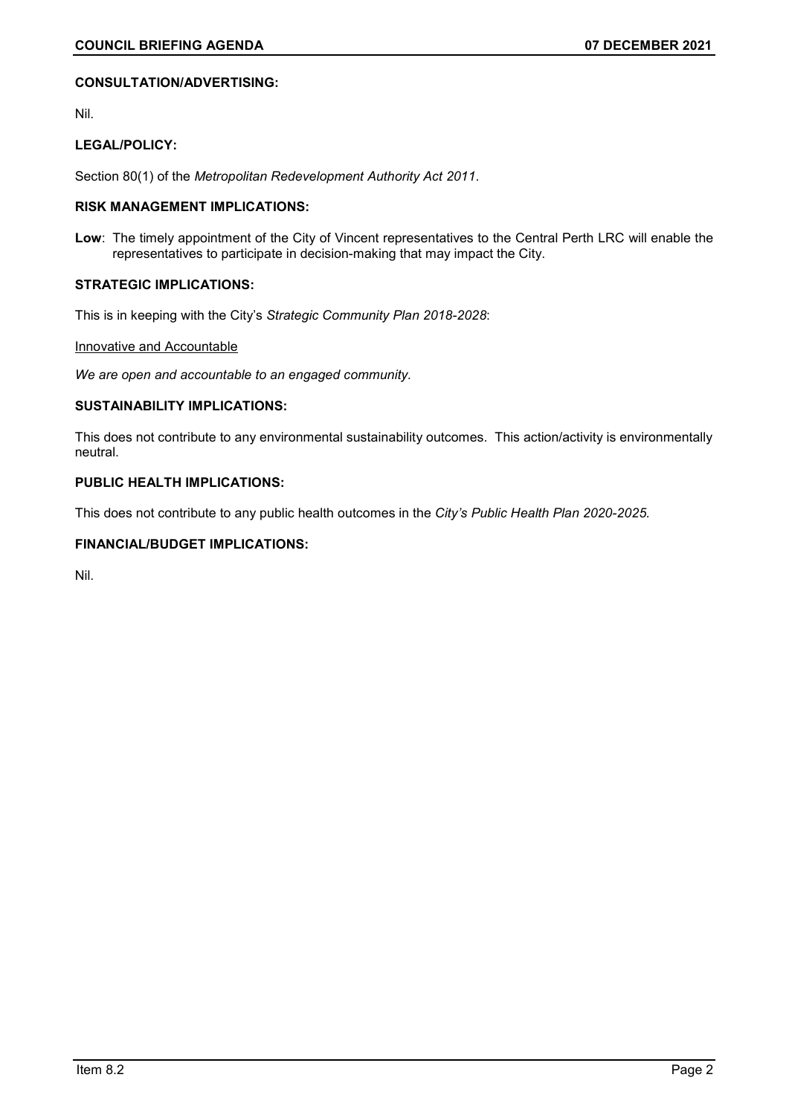#### **CONSULTATION/ADVERTISING:**

Nil.

## **LEGAL/POLICY:**

Section 80(1) of the *Metropolitan Redevelopment Authority Act 2011*.

## **RISK MANAGEMENT IMPLICATIONS:**

**Low**: The timely appointment of the City of Vincent representatives to the Central Perth LRC will enable the representatives to participate in decision-making that may impact the City.

# **STRATEGIC IMPLICATIONS:**

This is in keeping with the City's *Strategic Community Plan 2018-2028*:

### Innovative and Accountable

*We are open and accountable to an engaged community.*

# **SUSTAINABILITY IMPLICATIONS:**

This does not contribute to any environmental sustainability outcomes. This action/activity is environmentally neutral.

#### **PUBLIC HEALTH IMPLICATIONS:**

This does not contribute to any public health outcomes in the *City's Public Health Plan 2020-2025.*

# **FINANCIAL/BUDGET IMPLICATIONS:**

Nil.